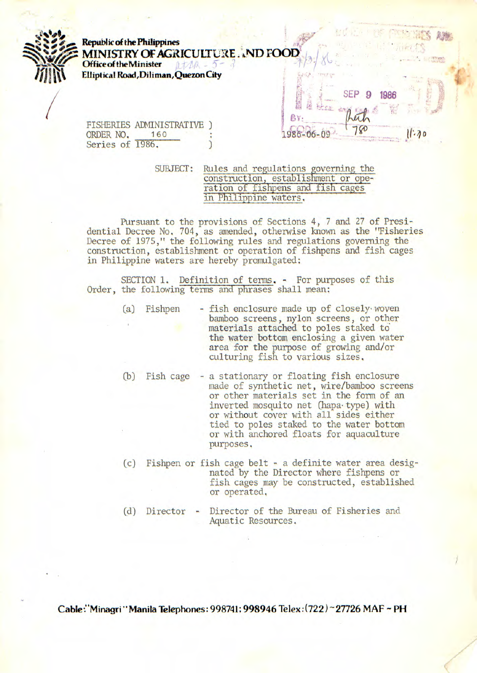AWAs **Republic of the Philippines MINISTRY OF AGRICULTURE . . ND FOOD**<br>Office of the Minister *at MA*  $-5$ *JJP* **Elliptical Road,Dili man, Quezon City** . SEP 9 **1986** BY. 4 FISHERIES ADMINISTRATIVE ) ;. 180  $11.70$ ORDER NO. 160 : 1986-06-09 Series of 1986.

SUBJECT: Rules and regulations governing the construction, establishment or operation of fishpens and fish cages in Philippine waters,

Pursuant to the provisions of Sections 4, 7 and 27 of Presidential Decree No. 704, as amended, otherwise known as the "Fisheries Decree of 1975," the following rules and regulations governing the construction, establishment or operation of fishpens and fish cages in Philippine waters are hereby promulgated:

SECTION 1. Definition of terms. - For purposes of this Order, the following terms and phrases shall mean:

- (a) Fishpen fish enclosure made up of closely woven bamboo screens, nylon screens, or other materials attached to poles staked to the water bottom enclosing a given water area for the purpose of growing and/or culturing fish to various sizes.
- (b) Fish cage a stationary or floating fish enclosure made of synthetic net, wire/bamboo screens or other materials set in the form of an inverted mosquito net (hapa type) with or without cover with all sides either tied to poles staked to the water bottom or with anchored floats for aquaculture purposes.
- (c) Fishpen or fish cage belt a definite water area designated by the Director where fishpens or fish cages may be constructed, established or operated.
- (d) Director Director of the Bureau of Fisheries and Aquatic Resources.

Cable 'Minaqri "Manila Telephones: 998741; 998946 Telex *:(722) 27726* MAF **-PH**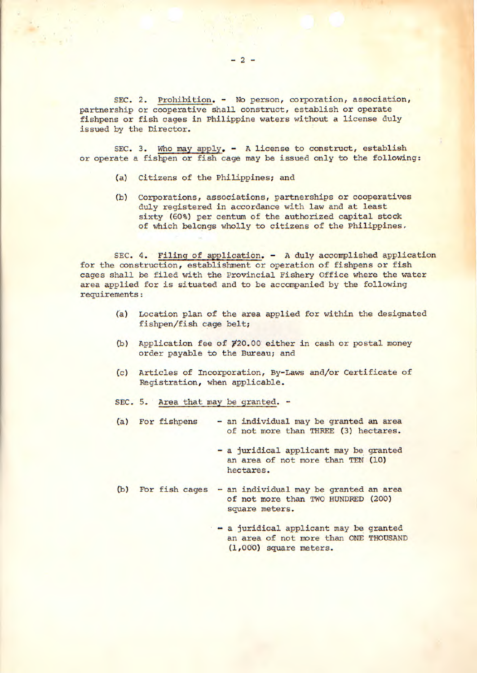SEC. 2. Prohibition. - No person, corporation, association, partnership or cooperative shall construct, establish or operate fishpens or fish cages in Philippine waters without a license duly issued by the Director.

SEC. 3. Who may apply. - A license to construct, establish or operate a fishpen or fish cage may be issued only to the following:

- (a) Citizens of the Philippines; and
- (b) Corporations, associations, partnerships or cooperatives duly registered in accordance with law and at least sixty (60%) per centum of the authorized capital stock of which belongs wholly to citizens of the Philippines.

SEC. 4. Filing of application. - A duly accomplished application for the construction, establishment or operation of fishpens or fish cages shall be filed with the Provincial Fishery Office where the water area applied for is situated and to be accompanied by the following requirements:

- (a) Location plan of the area applied for within the designated fishpen/fish cage belt;
- (b) Application fee of  $\cancel{Y}20.00$  either in cash or postal money order payable to the Bureau; and
- (c) Articles of Incorporation, By-Laws and/or Certificate of Registration, when applicable.
- SEC. 5. Area that may be granted. -
- (a) For fishpens an individual may be granted an area of not more than THREE (3) hectares.
	- a juridical applicant may be granted an area of not more than TEN (10) hectares.
- b) For fish cages an individual may be granted an area of not more than TWO HUNDRED (200) square meters.
	- a juridical applicant may be granted an area of not more than ONE THOUSAND (1,000) square meters.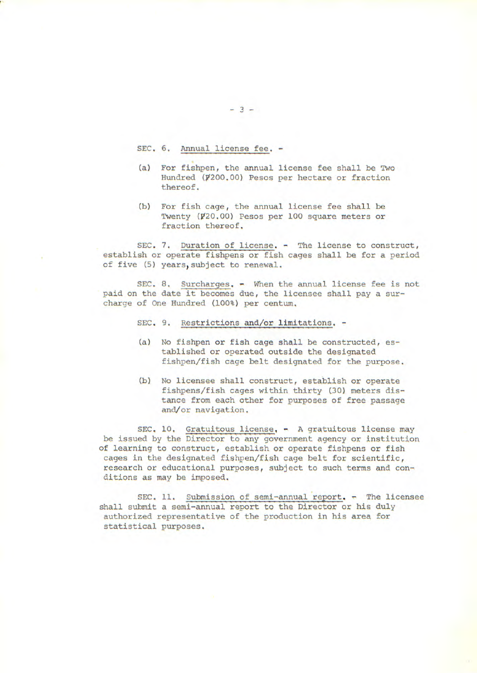SEC. 6. Annual license fee. -

- (a) For fishpen, the annual license fee shall be Two Hundred (#200.00) Pesos per hectare or fraction thereof.
- (b) For fish cage, the annual license fee shall be Twenty (#20.00) Pesos per 100 square meters or fraction thereof.

SEC. 7. Duration of license. - The license to construct, establish or operate fishpens or fish cages shall be for a period of five (5) years,subject to renewal.

SEC. 8. Surcharges. - When the annual license fee is not paid on the date it becomes due, the licensee shall pay a surcharge of One Hundred (100%) per centum.

- SEC. 9. Restrictions and/or limitations. -
- (a) No fishpen or fish cage shall be constructed, established or operated outside the designated fishpen/fish cage belt designated for the purpose.
- (b) No licensee shall construct, establish or operate fishpens/fish cages within thirty (30) meters distance from each other for purposes of free passage and/or navigation.

SEC. 10. Gratuitous license.  $-$  A gratuitous license may be issued by the Director to any government agency or institution of learning to construct, establish or operate fishpens or fish cages in the designated fishpen/fish cage belt for scientific, research or educational purposes, subject to such terms and conditions as may be imposed.

SEC. 11. Submission of semi-annual report. - The licensee shall submit a semi-annual report to the Director or his duly authorized representative of the production in his area for statistical purposes.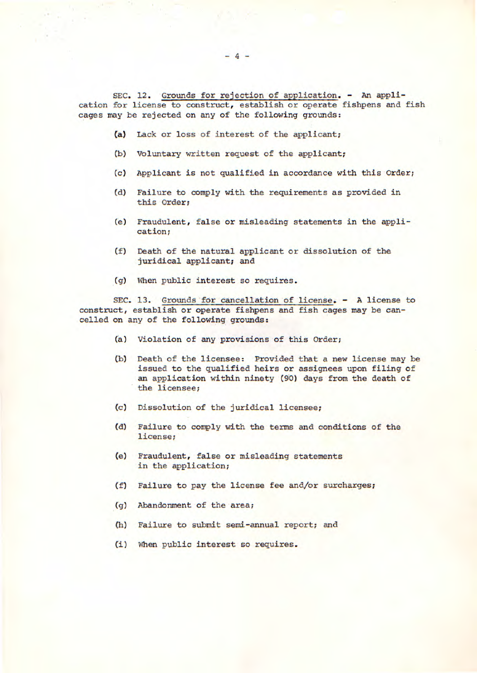SEC. 12. Grounds for rejection of application. - An application for license to construct, establish or operate fishpens and fish cages may be rejected on any of the following grounds:

- (a) Lack or loss of interest of the applicant;
- (b) Voluntary written request of the applicant;
- (c) Applicant is not qualified in accordance with this Order;
- (d) Failure to comply with the requirements as provided in this Order;
- (e) Fraudulent, false or misleading statements in the application;
- (f) Death of the natural applicant or dissolution of the juridical applicant; and
- (g) When public interest so requires.

SEC. 13. Grounds for cancellation of license. - A license to construct, establish or operate fishpens and fish cages may be cancelled on any of the following grounds:

- (a) Violation of any provisions of this Order;
- (b) Death of the licensee: Provided that a new license may be issued to the qualified heirs or assignees upon filing of an application within ninety (90) days from the death of the licensee;
- (c) Dissolution of the juridical licensee;
- (d) Failure to comply with the terms and conditions of the license;
- (e) Fraudulent, false or misleading statements in the application;
- (f) Failure to pay the license fee and/or surcharges;
- (g) Abandonment of the area;
- (h) Failure to submit semi-annual report; and
- (1) When public interest so requires.